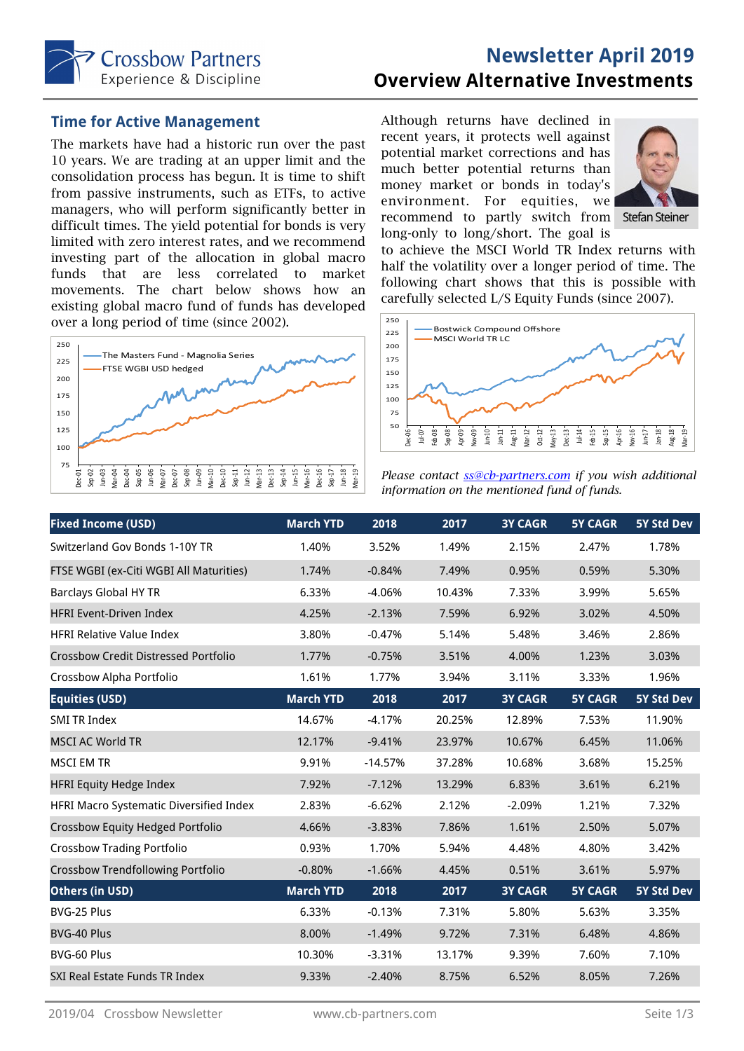

# **Newsletter April 2019 Overview Alternative Investments**

#### **Time for Active Management**

The markets have had a historic run over the past 10 years. We are trading at an upper limit and the consolidation process has begun. It is time to shift from passive instruments, such as ETFs, to active managers, who will perform significantly better in difficult times. The yield potential for bonds is very limited with zero interest rates, and we recommend investing part of the allocation in global macro funds that are less correlated to market movements. The chart below shows how an existing global macro fund of funds has developed over a long period of time (since 2002).



Although returns have declined in recent years, it protects well against potential market corrections and has much better potential returns than money market or bonds in today's environment. For equities, we recommend to partly switch from Stefan Steiner long-only to long/short. The goal is



to achieve the MSCI World TR Index returns with half the volatility over a longer period of time. The following chart shows that this is possible with carefully selected L/S Equity Funds (since 2007).



*Please contact ss@cb-partners.com if you wish additional information on the mentioned fund of funds.* 

| <b>Fixed Income (USD)</b>                   | <b>March YTD</b> | 2018      | 2017   | <b>3Y CAGR</b> | <b>5Y CAGR</b> | <b>5Y Std Dev</b> |
|---------------------------------------------|------------------|-----------|--------|----------------|----------------|-------------------|
| Switzerland Gov Bonds 1-10Y TR              | 1.40%            | 3.52%     | 1.49%  | 2.15%          | 2.47%          | 1.78%             |
| FTSE WGBI (ex-Citi WGBI All Maturities)     | 1.74%            | $-0.84%$  | 7.49%  | 0.95%          | 0.59%          | 5.30%             |
| <b>Barclays Global HY TR</b>                | 6.33%            | $-4.06%$  | 10.43% | 7.33%          | 3.99%          | 5.65%             |
| <b>HFRI Event-Driven Index</b>              | 4.25%            | $-2.13%$  | 7.59%  | 6.92%          | 3.02%          | 4.50%             |
| <b>HFRI Relative Value Index</b>            | 3.80%            | $-0.47%$  | 5.14%  | 5.48%          | 3.46%          | 2.86%             |
| <b>Crossbow Credit Distressed Portfolio</b> | 1.77%            | $-0.75%$  | 3.51%  | 4.00%          | 1.23%          | 3.03%             |
| Crossbow Alpha Portfolio                    | 1.61%            | 1.77%     | 3.94%  | 3.11%          | 3.33%          | 1.96%             |
| <b>Equities (USD)</b>                       | <b>March YTD</b> | 2018      | 2017   | <b>3Y CAGR</b> | <b>5Y CAGR</b> | <b>5Y Std Dev</b> |
| <b>SMI TR Index</b>                         | 14.67%           | $-4.17%$  | 20.25% | 12.89%         | 7.53%          | 11.90%            |
| <b>MSCI AC World TR</b>                     | 12.17%           | $-9.41%$  | 23.97% | 10.67%         | 6.45%          | 11.06%            |
| <b>MSCI EM TR</b>                           | 9.91%            | $-14.57%$ | 37.28% | 10.68%         | 3.68%          | 15.25%            |
| <b>HFRI Equity Hedge Index</b>              | 7.92%            | $-7.12%$  | 13.29% | 6.83%          | 3.61%          | 6.21%             |
| HFRI Macro Systematic Diversified Index     | 2.83%            | $-6.62%$  | 2.12%  | $-2.09%$       | 1.21%          | 7.32%             |
| Crossbow Equity Hedged Portfolio            | 4.66%            | $-3.83%$  | 7.86%  | 1.61%          | 2.50%          | 5.07%             |
| <b>Crossbow Trading Portfolio</b>           | 0.93%            | 1.70%     | 5.94%  | 4.48%          | 4.80%          | 3.42%             |
| <b>Crossbow Trendfollowing Portfolio</b>    | $-0.80%$         | $-1.66%$  | 4.45%  | 0.51%          | 3.61%          | 5.97%             |
| Others (in USD)                             | <b>March YTD</b> | 2018      | 2017   | <b>3Y CAGR</b> | <b>5Y CAGR</b> | 5Y Std Dev        |
| BVG-25 Plus                                 | 6.33%            | $-0.13%$  | 7.31%  | 5.80%          | 5.63%          | 3.35%             |
| BVG-40 Plus                                 | 8.00%            | $-1.49%$  | 9.72%  | 7.31%          | 6.48%          | 4.86%             |
| BVG-60 Plus                                 | 10.30%           | $-3.31%$  | 13.17% | 9.39%          | 7.60%          | 7.10%             |
| SXI Real Estate Funds TR Index              | 9.33%            | $-2.40%$  | 8.75%  | 6.52%          | 8.05%          | 7.26%             |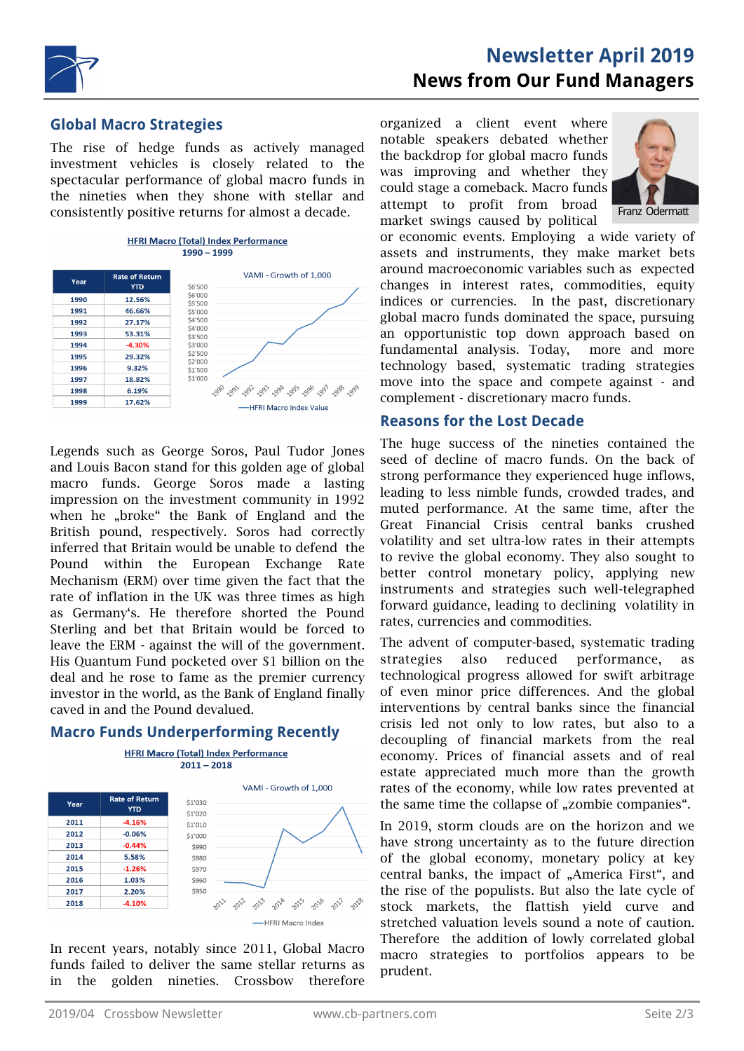

# **Newsletter April 2019 News from Our Fund Managers**

#### **Global Macro Strategies**

The rise of hedge funds as actively managed investment vehicles is closely related to the spectacular performance of global macro funds in the nineties when they shone with stellar and consistently positive returns for almost a decade.



Legends such as George Soros, Paul Tudor Jones and Louis Bacon stand for this golden age of global macro funds. George Soros made a lasting impression on the investment community in 1992 when he "broke" the Bank of England and the British pound, respectively. Soros had correctly inferred that Britain would be unable to defend the Pound within the European Exchange Rate Mechanism (ERM) over time given the fact that the rate of inflation in the UK was three times as high as Germany's. He therefore shorted the Pound Sterling and bet that Britain would be forced to leave the ERM - against the will of the government. His Quantum Fund pocketed over \$1 billion on the deal and he rose to fame as the premier currency investor in the world, as the Bank of England finally caved in and the Pound devalued.

#### **Macro Funds Underperforming Recently**



In recent years, notably since 2011, Global Macro funds failed to deliver the same stellar returns as in the golden nineties. Crossbow therefore organized a client event where notable speakers debated whether the backdrop for global macro funds was improving and whether they could stage a comeback. Macro funds attempt to profit from broad market swings caused by political



or economic events. Employing a wide variety of assets and instruments, they make market bets around macroeconomic variables such as expected changes in interest rates, commodities, equity indices or currencies. In the past, discretionary global macro funds dominated the space, pursuing an opportunistic top down approach based on fundamental analysis. Today, more and more technology based, systematic trading strategies move into the space and compete against - and complement - discretionary macro funds.

#### **Reasons for the Lost Decade**

The huge success of the nineties contained the seed of decline of macro funds. On the back of strong performance they experienced huge inflows, leading to less nimble funds, crowded trades, and muted performance. At the same time, after the Great Financial Crisis central banks crushed volatility and set ultra-low rates in their attempts to revive the global economy. They also sought to better control monetary policy, applying new instruments and strategies such well-telegraphed forward guidance, leading to declining volatility in rates, currencies and commodities.

The advent of computer-based, systematic trading strategies also reduced performance, as technological progress allowed for swift arbitrage of even minor price differences. And the global interventions by central banks since the financial crisis led not only to low rates, but also to a decoupling of financial markets from the real economy. Prices of financial assets and of real estate appreciated much more than the growth rates of the economy, while low rates prevented at the same time the collapse of "zombie companies".

In 2019, storm clouds are on the horizon and we have strong uncertainty as to the future direction of the global economy, monetary policy at key central banks, the impact of "America First", and the rise of the populists. But also the late cycle of stock markets, the flattish yield curve and stretched valuation levels sound a note of caution. Therefore the addition of lowly correlated global macro strategies to portfolios appears to be prudent.